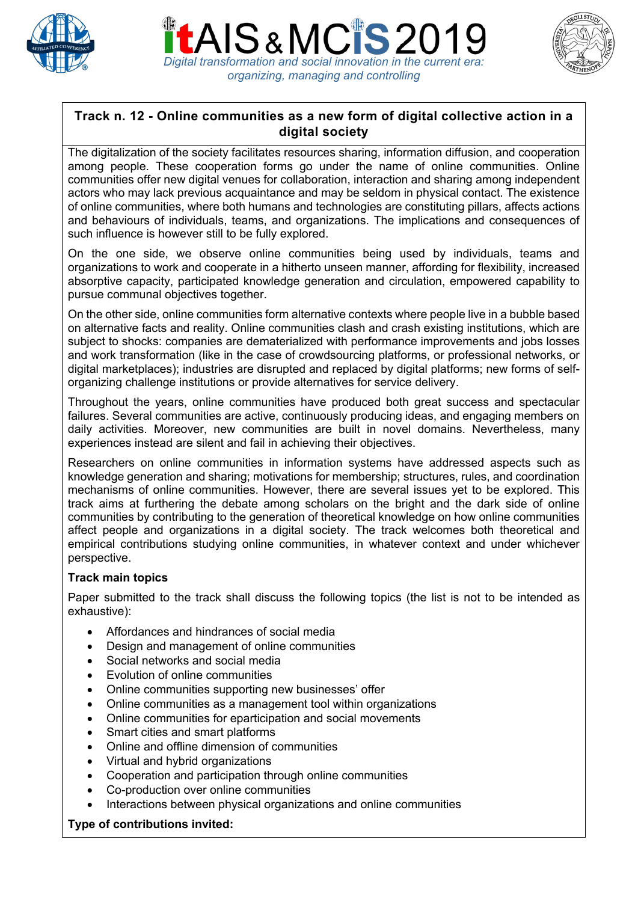





# **Track n. 12 - Online communities as a new form of digital collective action in a digital society**

The digitalization of the society facilitates resources sharing, information diffusion, and cooperation among people. These cooperation forms go under the name of online communities. Online communities offer new digital venues for collaboration, interaction and sharing among independent actors who may lack previous acquaintance and may be seldom in physical contact. The existence of online communities, where both humans and technologies are constituting pillars, affects actions and behaviours of individuals, teams, and organizations. The implications and consequences of such influence is however still to be fully explored.

On the one side, we observe online communities being used by individuals, teams and organizations to work and cooperate in a hitherto unseen manner, affording for flexibility, increased absorptive capacity, participated knowledge generation and circulation, empowered capability to pursue communal objectives together.

On the other side, online communities form alternative contexts where people live in a bubble based on alternative facts and reality. Online communities clash and crash existing institutions, which are subject to shocks: companies are dematerialized with performance improvements and jobs losses and work transformation (like in the case of crowdsourcing platforms, or professional networks, or digital marketplaces); industries are disrupted and replaced by digital platforms; new forms of selforganizing challenge institutions or provide alternatives for service delivery.

Throughout the years, online communities have produced both great success and spectacular failures. Several communities are active, continuously producing ideas, and engaging members on daily activities. Moreover, new communities are built in novel domains. Nevertheless, many experiences instead are silent and fail in achieving their objectives.

Researchers on online communities in information systems have addressed aspects such as knowledge generation and sharing; motivations for membership; structures, rules, and coordination mechanisms of online communities. However, there are several issues yet to be explored. This track aims at furthering the debate among scholars on the bright and the dark side of online communities by contributing to the generation of theoretical knowledge on how online communities affect people and organizations in a digital society. The track welcomes both theoretical and empirical contributions studying online communities, in whatever context and under whichever perspective.

#### **Track main topics**

Paper submitted to the track shall discuss the following topics (the list is not to be intended as exhaustive):

- Affordances and hindrances of social media
- Design and management of online communities
- Social networks and social media
- Evolution of online communities
- Online communities supporting new businesses' offer
- Online communities as a management tool within organizations
- Online communities for eparticipation and social movements
- Smart cities and smart platforms
- Online and offline dimension of communities
- Virtual and hybrid organizations
- Cooperation and participation through online communities
- Co-production over online communities
- Interactions between physical organizations and online communities

#### **Type of contributions invited:**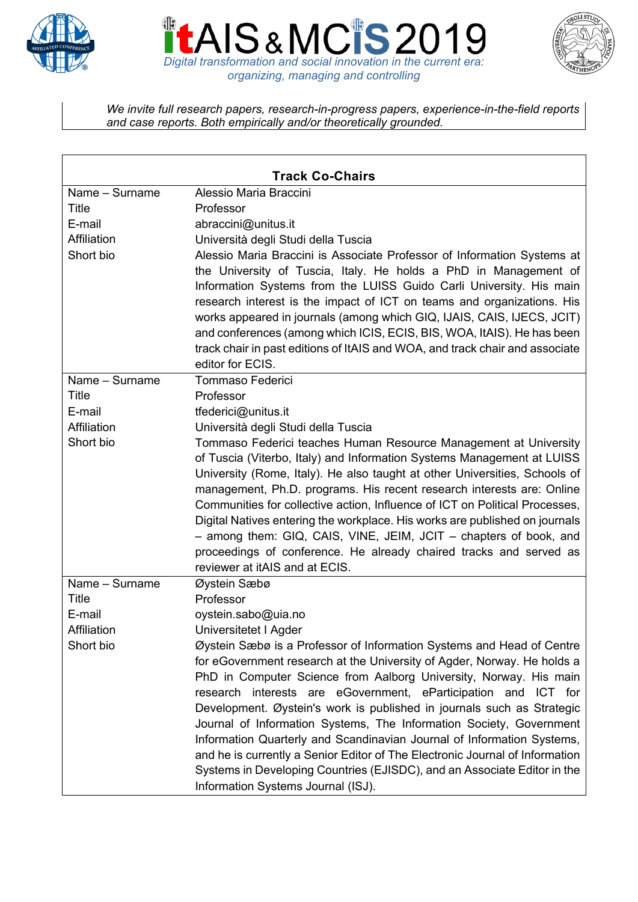





*We invite full research papers, research-in-progress papers, experience-in-the-field reports and case reports. Both empirically and/or theoretically grounded.*

| <b>Track Co-Chairs</b> |                                                                                                                                                                                                                                                                                                                                                                                                                                                                                                                                                      |
|------------------------|------------------------------------------------------------------------------------------------------------------------------------------------------------------------------------------------------------------------------------------------------------------------------------------------------------------------------------------------------------------------------------------------------------------------------------------------------------------------------------------------------------------------------------------------------|
| Name - Surname         | Alessio Maria Braccini                                                                                                                                                                                                                                                                                                                                                                                                                                                                                                                               |
| <b>Title</b>           | Professor                                                                                                                                                                                                                                                                                                                                                                                                                                                                                                                                            |
| E-mail                 | abraccini@unitus.it                                                                                                                                                                                                                                                                                                                                                                                                                                                                                                                                  |
| Affiliation            | Università degli Studi della Tuscia                                                                                                                                                                                                                                                                                                                                                                                                                                                                                                                  |
| Short bio              | Alessio Maria Braccini is Associate Professor of Information Systems at<br>the University of Tuscia, Italy. He holds a PhD in Management of<br>Information Systems from the LUISS Guido Carli University. His main<br>research interest is the impact of ICT on teams and organizations. His<br>works appeared in journals (among which GIQ, IJAIS, CAIS, IJECS, JCIT)<br>and conferences (among which ICIS, ECIS, BIS, WOA, ItAIS). He has been<br>track chair in past editions of ItAIS and WOA, and track chair and associate<br>editor for ECIS. |
| Name - Surname         | <b>Tommaso Federici</b>                                                                                                                                                                                                                                                                                                                                                                                                                                                                                                                              |
| Title                  | Professor                                                                                                                                                                                                                                                                                                                                                                                                                                                                                                                                            |
| E-mail                 | tfederici@unitus.it                                                                                                                                                                                                                                                                                                                                                                                                                                                                                                                                  |
| Affiliation            | Università degli Studi della Tuscia                                                                                                                                                                                                                                                                                                                                                                                                                                                                                                                  |
| Short bio              | Tommaso Federici teaches Human Resource Management at University                                                                                                                                                                                                                                                                                                                                                                                                                                                                                     |
|                        | of Tuscia (Viterbo, Italy) and Information Systems Management at LUISS<br>University (Rome, Italy). He also taught at other Universities, Schools of                                                                                                                                                                                                                                                                                                                                                                                                 |
|                        | management, Ph.D. programs. His recent research interests are: Online                                                                                                                                                                                                                                                                                                                                                                                                                                                                                |
|                        | Communities for collective action, Influence of ICT on Political Processes,                                                                                                                                                                                                                                                                                                                                                                                                                                                                          |
|                        | Digital Natives entering the workplace. His works are published on journals                                                                                                                                                                                                                                                                                                                                                                                                                                                                          |
|                        | - among them: GIQ, CAIS, VINE, JEIM, JCIT - chapters of book, and                                                                                                                                                                                                                                                                                                                                                                                                                                                                                    |
|                        | proceedings of conference. He already chaired tracks and served as                                                                                                                                                                                                                                                                                                                                                                                                                                                                                   |
|                        | reviewer at itAIS and at ECIS.                                                                                                                                                                                                                                                                                                                                                                                                                                                                                                                       |
| Name - Surname         | Øystein Sæbø                                                                                                                                                                                                                                                                                                                                                                                                                                                                                                                                         |
| <b>Title</b>           | Professor                                                                                                                                                                                                                                                                                                                                                                                                                                                                                                                                            |
| E-mail                 | oystein.sabo@uia.no                                                                                                                                                                                                                                                                                                                                                                                                                                                                                                                                  |
| Affiliation            | Universitetet I Agder                                                                                                                                                                                                                                                                                                                                                                                                                                                                                                                                |
| Short bio              | Øystein Sæbø is a Professor of Information Systems and Head of Centre                                                                                                                                                                                                                                                                                                                                                                                                                                                                                |
|                        | for eGovernment research at the University of Agder, Norway. He holds a                                                                                                                                                                                                                                                                                                                                                                                                                                                                              |
|                        | PhD in Computer Science from Aalborg University, Norway. His main                                                                                                                                                                                                                                                                                                                                                                                                                                                                                    |
|                        | research interests are eGovernment, eParticipation and ICT for                                                                                                                                                                                                                                                                                                                                                                                                                                                                                       |
|                        | Development. Øystein's work is published in journals such as Strategic                                                                                                                                                                                                                                                                                                                                                                                                                                                                               |
|                        | Journal of Information Systems, The Information Society, Government                                                                                                                                                                                                                                                                                                                                                                                                                                                                                  |
|                        | Information Quarterly and Scandinavian Journal of Information Systems,                                                                                                                                                                                                                                                                                                                                                                                                                                                                               |
|                        | and he is currently a Senior Editor of The Electronic Journal of Information                                                                                                                                                                                                                                                                                                                                                                                                                                                                         |
|                        | Systems in Developing Countries (EJISDC), and an Associate Editor in the                                                                                                                                                                                                                                                                                                                                                                                                                                                                             |
|                        | Information Systems Journal (ISJ).                                                                                                                                                                                                                                                                                                                                                                                                                                                                                                                   |